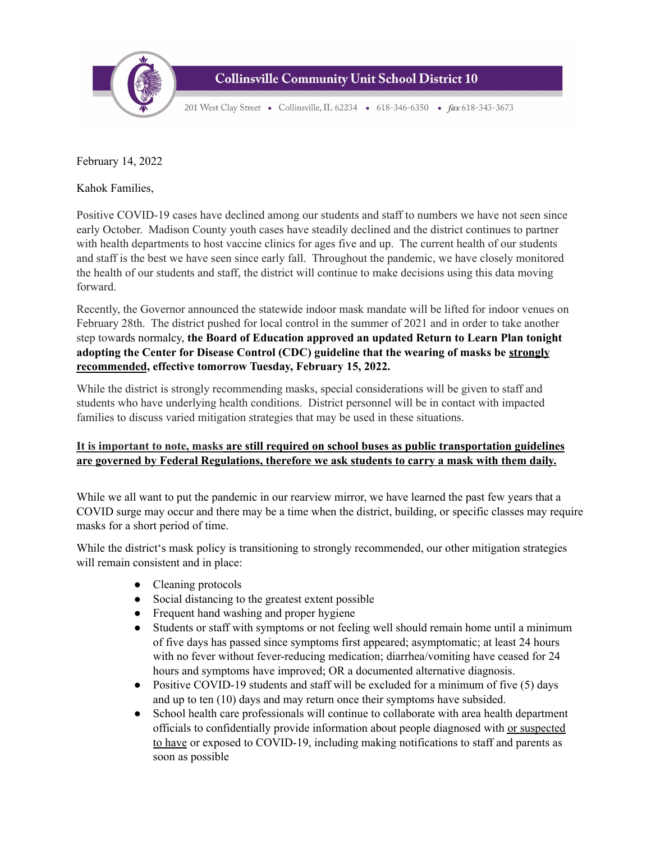

**Collinsville Community Unit School District 10** 

201 West Clay Street • Collinsville, IL 62234 • 618-346-6350 • fax 618-343-3673

February 14, 2022

Kahok Families,

Positive COVID-19 cases have declined among our students and staff to numbers we have not seen since early October. Madison County youth cases have steadily declined and the district continues to partner with health departments to host vaccine clinics for ages five and up. The current health of our students and staff is the best we have seen since early fall. Throughout the pandemic, we have closely monitored the health of our students and staff, the district will continue to make decisions using this data moving forward.

Recently, the Governor announced the statewide indoor mask mandate will be lifted for indoor venues on February 28th. The district pushed for local control in the summer of 2021 and in order to take another step towards normalcy, **the Board of Education approved an updated Return to Learn Plan tonight adopting the Center for Disease Control (CDC) guideline that the wearing of masks be strongly recommended, effective tomorrow Tuesday, February 15, 2022.**

While the district is strongly recommending masks, special considerations will be given to staff and students who have underlying health conditions. District personnel will be in contact with impacted families to discuss varied mitigation strategies that may be used in these situations.

## **It is important to note, masks are still required on school buses as public transportation guidelines are governed by Federal Regulations, therefore we ask students to carry a mask with them daily.**

While we all want to put the pandemic in our rearview mirror, we have learned the past few years that a COVID surge may occur and there may be a time when the district, building, or specific classes may require masks for a short period of time.

While the district's mask policy is transitioning to strongly recommended, our other mitigation strategies will remain consistent and in place:

- Cleaning protocols
- Social distancing to the greatest extent possible
- Frequent hand washing and proper hygiene
- Students or staff with symptoms or not feeling well should remain home until a minimum of five days has passed since symptoms first appeared; asymptomatic; at least 24 hours with no fever without fever-reducing medication; diarrhea/vomiting have ceased for 24 hours and symptoms have improved; OR a documented alternative diagnosis.
- $\bullet$  Positive COVID-19 students and staff will be excluded for a minimum of five (5) days and up to ten (10) days and may return once their symptoms have subsided.
- School health care professionals will continue to collaborate with area health department officials to confidentially provide information about people diagnosed with or suspected to have or exposed to COVID-19, including making notifications to staff and parents as soon as possible